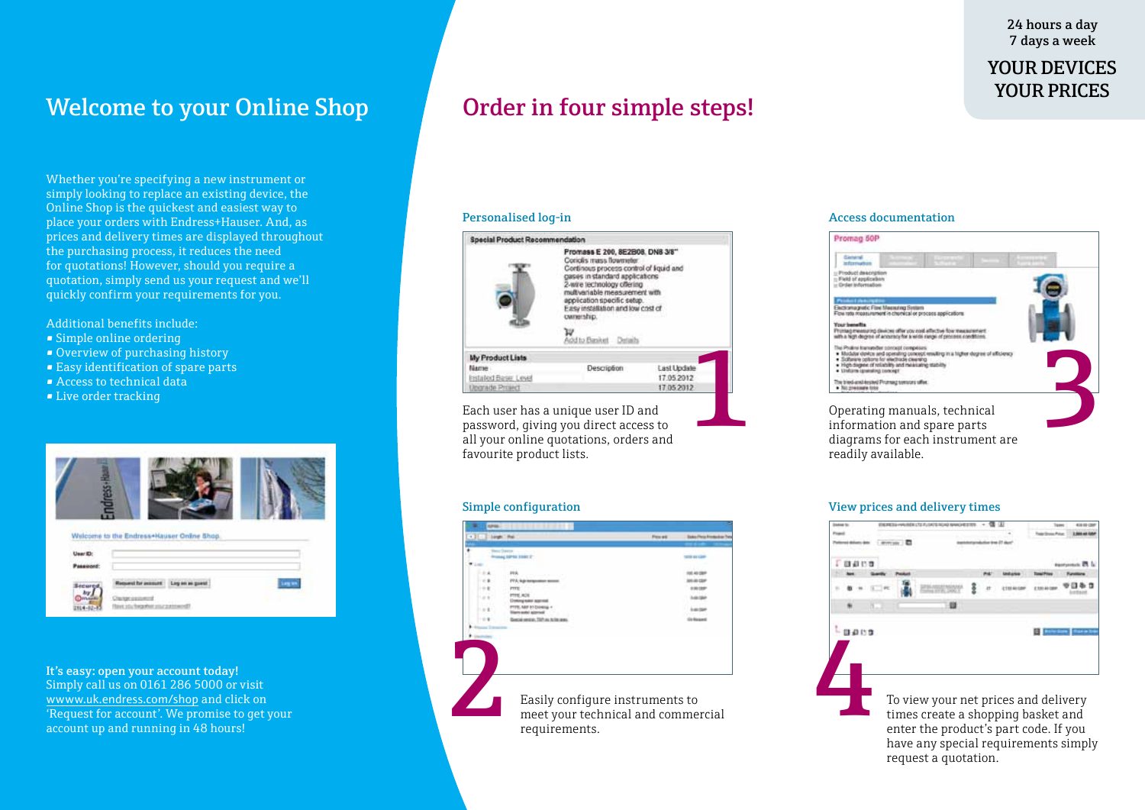24 hours a day 7 days a week

## YOUR DEVICES YOUR PRICES

# Welcome to your Online Shop **Order in four simple steps!**

Whether you're specifying a new instrument or simply looking to replace an existing device, the Online Shop is the quickest and easiest way to place your orders with Endress+Hauser. And, as prices and delivery times are displayed throughout the purchasing process, it reduces the need for quotations! However, should you require a quotation, simply send us your request and we'll quickly confirm your requirements for you.

Additional benefits include:

- Simple online ordering
- Overview of purchasing history
- Easy identification of spare parts
- Access to technical data
- Live order tracking



It's easy: open your account today! Simply call us on 0161 286 5000 or visit wwww.uk.endress.com/shop and click on 'Request for account'. We promise to get your account up and running in 48 hours!



Each user has a unique user ID and password, giving you direct access to all your online quotations, orders and favourite product lists.

|                       |                                                   |                 | <b>Disdust</b> for<br>Float |  |  |          |  |  |
|-----------------------|---------------------------------------------------|-----------------|-----------------------------|--|--|----------|--|--|
| $x$ Electric          |                                                   | <b>Followin</b> | Sake Pera Frederice Tor     |  |  |          |  |  |
|                       |                                                   |                 |                             |  |  |          |  |  |
| <b>Barry Transity</b> | <b>Inseed SPAL 1980 T</b>                         |                 | 1935 Bld Law                |  |  |          |  |  |
| Wilmet                |                                                   |                 |                             |  |  |          |  |  |
|                       |                                                   |                 |                             |  |  |          |  |  |
| 2.8.                  | <b>HK</b><br>and the company of the company of    |                 | 10.40.000                   |  |  |          |  |  |
| $\sim$ 6              | PPA legi temperature second                       |                 | $-0.005$                    |  |  |          |  |  |
| $\cdots$              | <b>PTTS</b>                                       |                 | 1.012                       |  |  |          |  |  |
| $1 - 1$               | <b>SCA STITE</b><br><b>Crosburg maker approve</b> |                 |                             |  |  |          |  |  |
| $\sim$ 1              |                                                   |                 | <b>ALCO</b>                 |  |  |          |  |  |
| $-1$                  | Georgia elegan, 737 de la fau ante-               |                 | <b>Distances</b>            |  |  |          |  |  |
|                       |                                                   |                 |                             |  |  |          |  |  |
|                       |                                                   |                 |                             |  |  | $-0.009$ |  |  |
|                       |                                                   |                 |                             |  |  |          |  |  |
|                       |                                                   |                 |                             |  |  |          |  |  |
|                       |                                                   |                 |                             |  |  |          |  |  |
|                       |                                                   |                 |                             |  |  |          |  |  |
|                       |                                                   |                 |                             |  |  |          |  |  |
|                       |                                                   |                 |                             |  |  |          |  |  |
|                       |                                                   |                 |                             |  |  |          |  |  |
|                       | Easily configure instruments to                   |                 |                             |  |  |          |  |  |
|                       |                                                   |                 |                             |  |  |          |  |  |
|                       | meet your technical and commercial                |                 |                             |  |  |          |  |  |
|                       |                                                   |                 |                             |  |  |          |  |  |
|                       | requirements.                                     |                 |                             |  |  |          |  |  |
|                       |                                                   |                 |                             |  |  |          |  |  |

### Personalised log-in and access documentation and Access documentation



### Simple configuration View prices and delivery times

**Taker College Co Instruction Limits Coaco Calculum State** To view your net prices and delivery times create a shopping basket and enter the product's part code. If you have any special requirements simply request a quotation.